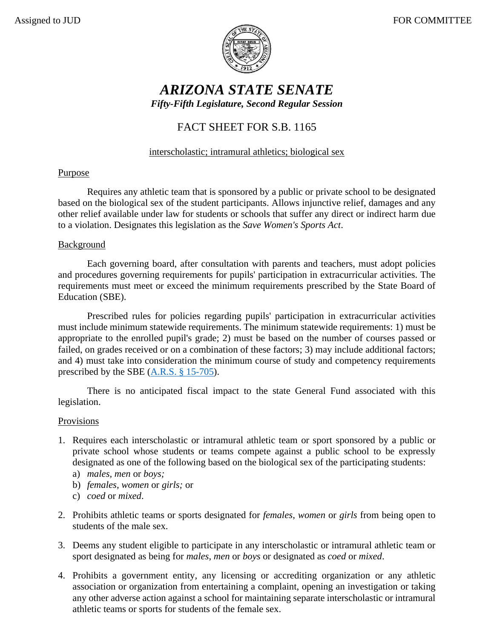

# *ARIZONA STATE SENATE Fifty-Fifth Legislature, Second Regular Session*

## FACT SHEET FOR S.B. 1165

## interscholastic; intramural athletics; biological sex

### Purpose

Requires any athletic team that is sponsored by a public or private school to be designated based on the biological sex of the student participants. Allows injunctive relief, damages and any other relief available under law for students or schools that suffer any direct or indirect harm due to a violation. Designates this legislation as the *Save Women's Sports Act*.

#### Background

Each governing board, after consultation with parents and teachers, must adopt policies and procedures governing requirements for pupils' participation in extracurricular activities. The requirements must meet or exceed the minimum requirements prescribed by the State Board of Education (SBE).

Prescribed rules for policies regarding pupils' participation in extracurricular activities must include minimum statewide requirements. The minimum statewide requirements: 1) must be appropriate to the enrolled pupil's grade; 2) must be based on the number of courses passed or failed, on grades received or on a combination of these factors; 3) may include additional factors; and 4) must take into consideration the minimum course of study and competency requirements prescribed by the SBE [\(A.R.S. § 15-705\)](https://www.azleg.gov/viewdocument/?docName=https://www.azleg.gov/ars/15/00705.htm).

There is no anticipated fiscal impact to the state General Fund associated with this legislation.

#### Provisions

- 1. Requires each interscholastic or intramural athletic team or sport sponsored by a public or private school whose students or teams compete against a public school to be expressly designated as one of the following based on the biological sex of the participating students:
	- a) *males, men* or *boys;*
	- b) *females, women* or *girls;* or
	- c) *coed* or *mixed*.
- 2. Prohibits athletic teams or sports designated for *females*, *women* or *girls* from being open to students of the male sex.
- 3. Deems any student eligible to participate in any interscholastic or intramural athletic team or sport designated as being for *males*, *men* or *boys* or designated as *coed* or *mixed*.
- 4. Prohibits a government entity, any licensing or accrediting organization or any athletic association or organization from entertaining a complaint, opening an investigation or taking any other adverse action against a school for maintaining separate interscholastic or intramural athletic teams or sports for students of the female sex.